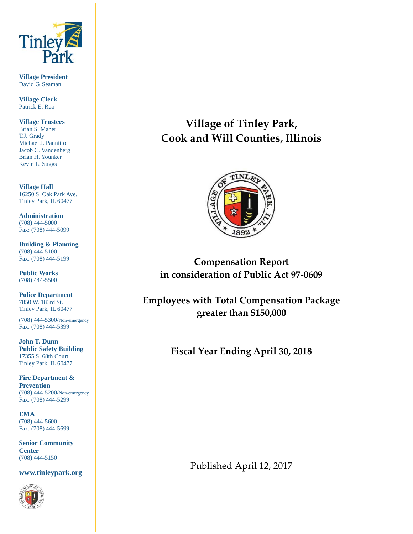

**Village President** David G. Seaman

**Village Clerk** Patrick E. Rea

**Village Trustees** Brian S. Maher T.J. Grady Michael J. Pannitto Jacob C. Vandenberg Brian H. Younker Kevin L. Suggs

**Village Hall** 16250 S. Oak Park Ave. Tinley Park, IL 60477

**Administration** (708) 444-5000 Fax: (708) 444-5099

**Building & Planning** (708) 444-5100 Fax: (708) 444-5199

**Public Works** (708) 444-5500

**Police Department** 7850 W. 183rd St. Tinley Park, IL 60477

(708) 444-5300/Non-emergency Fax: (708) 444-5399

**John T. Dunn Public Safety Building** 17355 S. 68th Court Tinley Park, IL 60477

**Fire Department & Prevention** (708) 444-5200/Non-emergency Fax: (708) 444-5299

**EMA** (708) 444-5600 Fax: (708) 444-5699

**Senior Community Center** (708) 444-5150

**www.tinleypark.org**



**Village of Tinley Park, Cook and Will Counties, Illinois**



**Compensation Report in consideration of Public Act 97-0609**

**Employees with Total Compensation Package greater than \$150,000**

**Fiscal Year Ending April 30, 2018**

Published April 12, 2017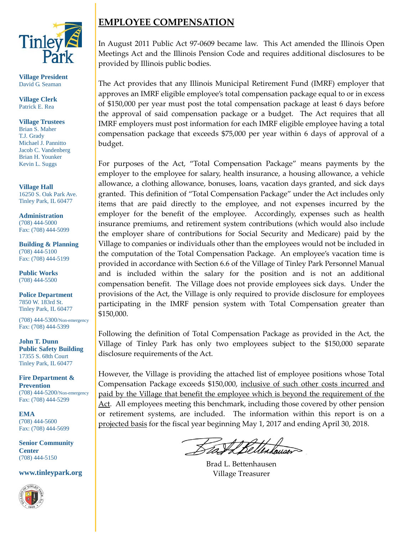

**Village President** David G. Seaman

**Village Clerk** Patrick E. Rea

**Village Trustees** Brian S. Maher T.J. Grady Michael J. Pannitto Jacob C. Vandenberg Brian H. Younker Kevin L. Suggs

**Village Hall** 16250 S. Oak Park Ave. Tinley Park, IL 60477

**Administration** (708) 444-5000 Fax: (708) 444-5099

**Building & Planning** (708) 444-5100 Fax: (708) 444-5199

**Public Works** (708) 444-5500

**Police Department** 7850 W. 183rd St. Tinley Park, IL 60477

(708) 444-5300/Non-emergency Fax: (708) 444-5399

**John T. Dunn Public Safety Building** 17355 S. 68th Court Tinley Park, IL 60477

**Fire Department & Prevention** (708) 444-5200/Non-emergency Fax: (708) 444-5299

**EMA** (708) 444-5600 Fax: (708) 444-5699

**Senior Community Center** (708) 444-5150

**www.tinleypark.org**



## **EMPLOYEE COMPENSATION**

In August 2011 Public Act 97-0609 became law. This Act amended the Illinois Open Meetings Act and the Illinois Pension Code and requires additional disclosures to be provided by Illinois public bodies.

The Act provides that any Illinois Municipal Retirement Fund (IMRF) employer that approves an IMRF eligible employee's total compensation package equal to or in excess of \$150,000 per year must post the total compensation package at least 6 days before the approval of said compensation package or a budget. The Act requires that all IMRF employers must post information for each IMRF eligible employee having a total compensation package that exceeds \$75,000 per year within 6 days of approval of a budget.

For purposes of the Act, "Total Compensation Package" means payments by the employer to the employee for salary, health insurance, a housing allowance, a vehicle allowance, a clothing allowance, bonuses, loans, vacation days granted, and sick days granted. This definition of "Total Compensation Package" under the Act includes only items that are paid directly to the employee, and not expenses incurred by the employer for the benefit of the employee. Accordingly, expenses such as health insurance premiums, and retirement system contributions (which would also include the employer share of contributions for Social Security and Medicare) paid by the Village to companies or individuals other than the employees would not be included in the computation of the Total Compensation Package. An employee's vacation time is provided in accordance with Section 6.6 of the Village of Tinley Park Personnel Manual and is included within the salary for the position and is not an additional compensation benefit. The Village does not provide employees sick days. Under the provisions of the Act, the Village is only required to provide disclosure for employees participating in the IMRF pension system with Total Compensation greater than \$150,000.

Following the definition of Total Compensation Package as provided in the Act, the Village of Tinley Park has only two employees subject to the \$150,000 separate disclosure requirements of the Act.

However, the Village is providing the attached list of employee positions whose Total Compensation Package exceeds \$150,000, inclusive of such other costs incurred and paid by the Village that benefit the employee which is beyond the requirement of the Act. All employees meeting this benchmark, including those covered by other pension or retirement systems, are included. The information within this report is on a projected basis for the fiscal year beginning May 1, 2017 and ending April 30, 2018.

Brad L. Bettenhausen Village Treasurer